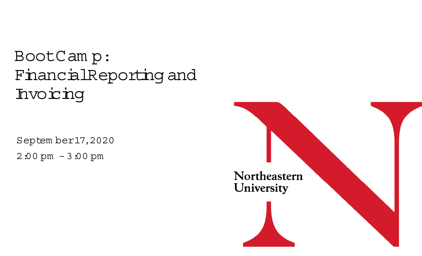### BootCam p: FinancialReporting and Invoicing

Septem ber 17,2020 2:00 pm – 3:00 pm

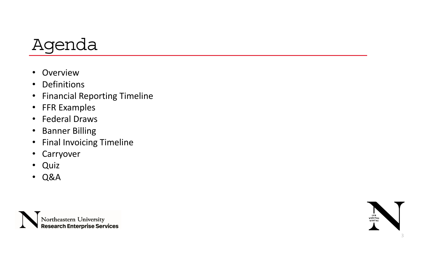

- $\bullet$ • Overview
- Definitions
- •Financial Reporting Timeline
- FFR Examples
- Federal Draws
- $\bullet$ Banner Billing
- $\bullet$ Final Invoicing Timeline
- $\bullet$ Carryover
- Quiz
- Q&A



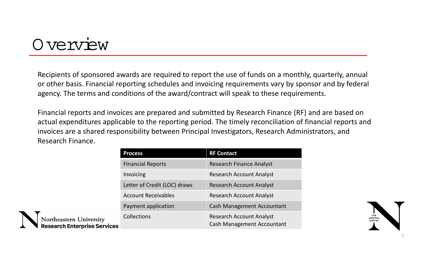#### O verview

Recipients of sponsored awards are required to report the use of funds on <sup>a</sup> monthly, quarterly, annual or other basis. Financial reporting schedules and invoicing requirements vary by sponsor and by federal agency. The terms and conditions of the award/contract will speak to these requirements.

Financial reports and invoices are prepared and submitted by Research Finance (RF) and are based on actual expenditures applicable to the reporting period. The timely reconciliation of financial reports and invoices are <sup>a</sup> shared responsibility between Principal Investigators, Research Administrators, and Research Finance.

|                          | <b>Process</b>               | <b>RF Contact</b>                                                    |
|--------------------------|------------------------------|----------------------------------------------------------------------|
|                          | <b>Financial Reports</b>     | <b>Research Finance Analyst</b>                                      |
|                          | Invoicing                    | <b>Research Account Analyst</b>                                      |
|                          | Letter of Credit (LOC) draws | <b>Research Account Analyst</b>                                      |
|                          | <b>Account Receivables</b>   | <b>Research Account Analyst</b>                                      |
|                          | Payment application          | <b>Cash Management Accountant</b>                                    |
| rsity<br><b>Services</b> | <b>Collections</b>           | <b>Research Account Analyst</b><br><b>Cash Management Accountant</b> |

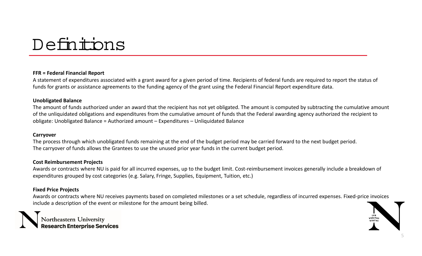### Definitions

#### **FFR <sup>=</sup> Federal Financial Report**

A statement of expenditures associated with <sup>a</sup> grant award for <sup>a</sup> given period of time. Recipients of federal funds are required to report the status of funds for grants or assistance agreements to the funding agency of the grant using the Federal Financial Report expenditure data.

#### **Unobligated Balance**

The amount of funds authorized under an award that the recipient has not yet obligated. The amount is computed by subtracting the cumulative amount of the unliquidated obligations and expenditures from the cumulative amount of funds that the Federal awarding agency authorized the recipient to obligate: Unobligated Balance <sup>=</sup> Authorized amount – Expenditures – Unliquidated Balance

#### **Carryover**

The process through which unobligated funds remaining at the end of the budget period may be carried forward to the next budget period. The carryover of funds allows the Grantees to use the unused prior year funds in the current budget period.

#### **Cost Reimbursement Projects**

Awards or contracts where NU is paid for all incurred expenses, up to the budget limit. Cost‐reimbursement invoices generally include <sup>a</sup> breakdown of expenditures grouped by cost categories (e.g. Salary, Fringe, Supplies, Equipment, Tuition, etc.)

#### **Fixed Price Projects**

Awards or contracts where NU receives payments based on completed milestones or <sup>a</sup> set schedule, regardless of incurred expenses. Fixed‐price invoices include <sup>a</sup> description of the event or milestone for the amount being billed.



Northeastern University<br>Research Enterprise Services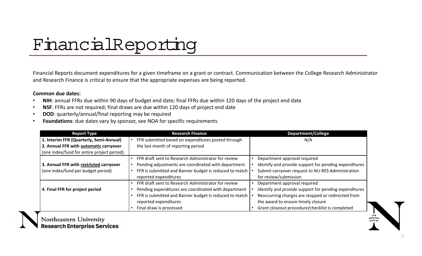# FinancialReporting

Financial Reports document expenditures for <sup>a</sup> given timeframe on <sup>a</sup> grant or contract. Communication between the College Research Administrator and Research Finance is critical to ensure that the appropriate expenses are being reported.

#### **Common due dates:**

- •**NIH**: annual FFRs due within 90 days of budget end date; final FFRs due within 120 days of the project end date
- •**NSF**: FFRs are not required; final draws are due within 120 days of project end date
- •**DOD**: quarterly/annual/final reporting may be required
- •**Foundations**: due dates vary by sponsor, see NOA for specific requirements

| <b>Research Finance</b><br><b>Report Type</b> |                                                        | <b>Department/College</b>                             |  |
|-----------------------------------------------|--------------------------------------------------------|-------------------------------------------------------|--|
| 1. Interim FFR (Quarterly, Semi-Annual)       | FFR submitted based on expenditures posted through     | N/A                                                   |  |
| 2. Annual FFR with automatic carryover        | the last month of reporting period                     |                                                       |  |
| (one index/fund for entire project period)    |                                                        |                                                       |  |
|                                               | FFR draft sent to Research Administrator for review    | Department approval required                          |  |
| 3. Annual FFR with restricted carryover       | Pending adjustments are coordinated with department    | Identify and provide support for pending expenditures |  |
| (one index/fund per budget period)            | FFR is submitted and Banner budget is reduced to match | Submit carryover request to NU-RES Administration     |  |
|                                               | reported expenditures                                  | for review/submission                                 |  |
|                                               | FFR draft sent to Research Administrator for review    | Department approval required                          |  |
| 4. Final FFR for project period               | Pending expenditures are coordinated with department   | Identify and provide support for pending expenditures |  |
|                                               | FFR is submitted and Banner budget is reduced to match | Reoccurring charges are stopped or redirected from    |  |
|                                               | reported expenditures                                  | the award to ensure timely closure                    |  |
|                                               | Final draw is processed                                | Grant closeout procedure/checklist is completed       |  |



Northeastern University **Research Enterprise Services**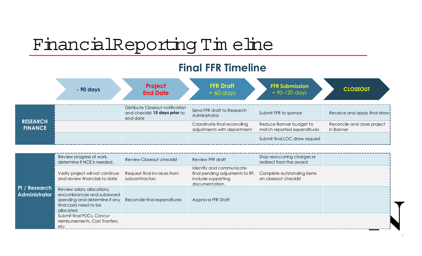# FinancialReporting Tim eline

#### **Final FFR Timeline**

|                                   | - 90 days | Project<br><b>End Date</b>                                                     | <b>FFR Draft</b><br>$+60$ days                              | <b>FFR Submission</b><br>$+90-120$ days                | <b>CLOSEOUT</b>                          |
|-----------------------------------|-----------|--------------------------------------------------------------------------------|-------------------------------------------------------------|--------------------------------------------------------|------------------------------------------|
| <b>RESEARCH</b><br><b>FINANCE</b> |           | Distribute Closeout notification<br>and checklist 15 days prior to<br>end date | Send FFR draft to Research<br>Administrator                 | Submit FFR to sponsor                                  | Receive and apply final draw!            |
|                                   |           |                                                                                | Coordinate final reconciling<br>adjustments with department | Reduce Banner budget to<br>match reported expenditures | Reconcile and close project<br>in Banner |
|                                   |           |                                                                                |                                                             | Submit final LOC draw request                          |                                          |

| PI / Research  <br><b>Administrator</b> | Review progress of work,<br>determine if NCE is needed.                                                                         | Review Closeout checklist                     | Review FFR draft                                                                                    | Stop reoccurring charges or<br>redirect from the award |  |
|-----------------------------------------|---------------------------------------------------------------------------------------------------------------------------------|-----------------------------------------------|-----------------------------------------------------------------------------------------------------|--------------------------------------------------------|--|
|                                         | Verify project will not continue<br>and review financials to date                                                               | Request final invoices from<br>subcontractors | Identify and communicate<br>final pending adjusments to RF.<br>Include supporting<br>documentation. | Complete outstanding items<br>on closeout checklist    |  |
|                                         | Review salary allocations,<br>encumbrances and subaward<br>spending and determine if any<br>final costs need to be<br>allocated | Reconcile final expenditures                  | Approve FFR Draft                                                                                   |                                                        |  |
|                                         | Submit final PDCs, Concur<br>reimbursements, Cost Tranfers,<br>etc                                                              |                                               |                                                                                                     |                                                        |  |

7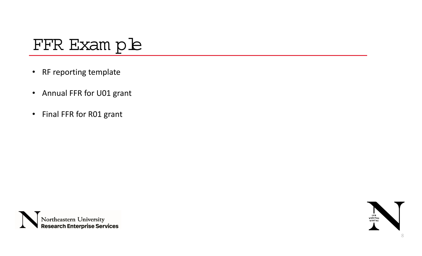### FFR Exam ple

- $\bullet$ • RF reporting template
- $\bullet$ • Annual FFR for U01 grant
- $\bullet$ • Final FFR for R01 grant



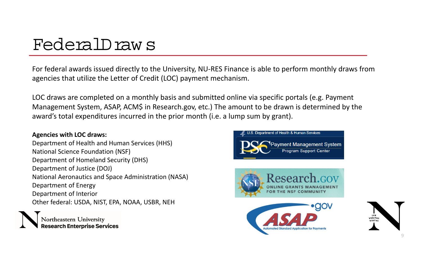### FederalDraw s

For federal awards issued directly to the University, NU‐RES Finance is able to perform monthly draws from agencies that utilize the Letter of Credit (LOC) payment mechanism.

LOC draws are completed on <sup>a</sup> monthly basis and submitted online via specific portals (e.g. Payment Management System, ASAP, ACM\$ in Research.gov, etc.) The amount to be drawn is determined by the award's total expenditures incurred in the prior month (i.e. <sup>a</sup> lump sum by grant).

#### **Agencies with LOC draws:**

Department of Health and Human Services (HHS) National Science Foundation (NSF) Department of Homeland Security (DHS) Department of Justice (DOJ) National Aeronautics and Space Administration (NASA) Department of Energy Department of Interior Other federal: USDA, NIST, EPA, NOAA, USBR, NEH

rch Enterprise Services

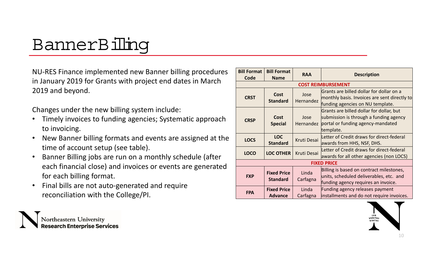## BannerBilling

NU‐RES Finance implemented new Banner billing procedures in January 2019 for Grants with project end dates in March 2019 and beyond.

Changes under the new billing system include:

- • Timely invoices to funding agencies; Systematic approach to invoicing.
- • New Banner billing formats and events are assigned at the time of account setup (see table).
- • Banner Billing jobs are run on <sup>a</sup> monthly schedule (after each financial close) and invoices or events are generated for each billing format.
- • Final bills are not auto‐generated and require reconciliation with the College/PI.



| <b>Bill Format</b><br>Code | <b>Bill Format</b><br><b>Name</b>     | <b>RAA</b>         | <b>Description</b>                                                                                                                   |  |  |
|----------------------------|---------------------------------------|--------------------|--------------------------------------------------------------------------------------------------------------------------------------|--|--|
|                            |                                       |                    | <b>COST REIMBURSEMENT</b>                                                                                                            |  |  |
| <b>CRST</b>                | <b>Cost</b><br><b>Standard</b>        | Jose<br>Hernandez  | Grants are billed dollar for dollar on a<br>monthly basis. Invoices are sent directly to<br>funding agencies on NU template.         |  |  |
| <b>CRSP</b>                | <b>Cost</b><br><b>Special</b>         |                    | Grants are billed dollar for dollar, but<br>submission is through a funding agency<br>portal or funding agency-mandated<br>template. |  |  |
| <b>LOCS</b>                | <b>LOC</b><br><b>Standard</b>         | Kruti Desai        | Letter of Credit draws for direct-federal<br>awards from HHS, NSF, DHS.                                                              |  |  |
| <b>LOCO</b>                | <b>LOC OTHER</b>                      | <b>Kruti Desai</b> | Letter of Credit draws for direct-federal<br>awards for all other agencies (non LOCS)                                                |  |  |
|                            | <b>FIXED PRICE</b>                    |                    |                                                                                                                                      |  |  |
| <b>FXP</b>                 | <b>Fixed Price</b><br><b>Standard</b> | Linda<br>Carfagna  | Billing is based on contract milestones,<br>units, scheduled deliverables, etc. and<br>funding agency requires an invoice.           |  |  |
| <b>FPA</b>                 | <b>Fixed Price</b><br><b>Advance</b>  | Linda<br>Carfagna  | Funding agency releases payment<br>installments and do not require invoices.                                                         |  |  |

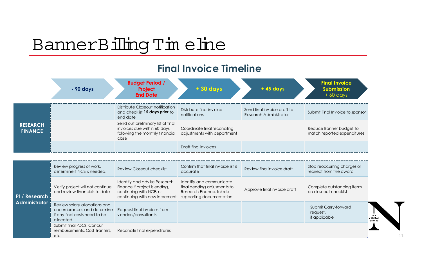## BannerBilling Tim eline

#### **Final Invoice Timeline**

|                                   | - 90 days | <b>Budget Period /</b><br>Project<br><b>End Date</b>                                                          | +30 days                                                    | $+45$ days                                            | <b>Final Invoice</b><br><b>Submission</b><br>$+60$ days |
|-----------------------------------|-----------|---------------------------------------------------------------------------------------------------------------|-------------------------------------------------------------|-------------------------------------------------------|---------------------------------------------------------|
| <b>RESEARCH</b><br><b>FINANCE</b> |           | Distribute Closeout notification<br>and checklist 15 days prior to<br>end date                                | Distribute final invoice<br>notifications                   | Send final invoice draft to<br>Research Administrator | Submit Final Invoice to sponsor                         |
|                                   |           | Send out preliminary list of final<br>invoices due within 60 days<br>following the monthly financial<br>close | Coordinate final reconciling<br>adjustments with department |                                                       | Reduce Banner budget to<br>match reported expenditures  |
|                                   |           |                                                                                                               | Draft final invoices                                        |                                                       |                                                         |

| PI / Research<br><b>Administrator</b> | Review progress of work,<br>determine if NCE is needed.                                                   | Review Closeout checklist                                                                                                 | Confirm that final invoice list is<br>accurate                                                                   | Review final invoice draft  | Stop reoccurring charges or<br>redirect from the award |                                 |
|---------------------------------------|-----------------------------------------------------------------------------------------------------------|---------------------------------------------------------------------------------------------------------------------------|------------------------------------------------------------------------------------------------------------------|-----------------------------|--------------------------------------------------------|---------------------------------|
|                                       | Verify project will not continue<br>and review financials to date                                         | Identify and advise Research<br>Finance if project is ending,<br>continuing with NCE, or<br>continuing with new increment | Identify and communicate<br>final pending adjusments to<br>Research Finance. Inlude<br>supporting documentation. | Approve final invoice draft | Complete outstanding items<br>on closeout checklist    |                                 |
|                                       | Review salary allocations and<br>encumbrances and determine<br>if any final costs need to be<br>allocated | Request final invoices from<br>vendors/consultants                                                                        |                                                                                                                  |                             | Submit Carry-forward<br>request,<br>if applicable      | <b>LVX</b><br>VERITA:<br>VIRTVS |
|                                       | Submit final PDCs, Concur<br>reimbursements, Cost Tranfers,<br>etc.                                       | Reconcile final expenditures                                                                                              |                                                                                                                  |                             |                                                        |                                 |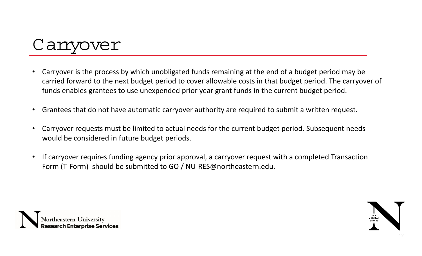

- • Carryover is the process by which unobligated funds remaining at the end of <sup>a</sup> budget period may be carried forward to the next budget period to cover allowable costs in that budget period. The carryover of funds enables grantees to use unexpended prior year grant funds in the current budget period.
- •Grantees that do not have automatic carryover authority are required to submit <sup>a</sup> written request.
- • Carryover requests must be limited to actual needs for the current budget period. Subsequent needs would be considered in future budget periods.
- • If carryover requires funding agency prior approval, <sup>a</sup> carryover request with <sup>a</sup> completed Transaction Form (T‐Form) should be submitted to GO / NU‐RES@northeastern.edu.



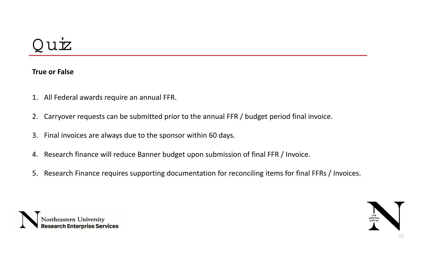### $UZ$

#### **True or False**

- 1. All Federal awards require an annual FFR.
- 2. Carryover requests can be submitted prior to the annual FFR / budget period final invoice.
- 3. Final invoices are always due to the sponsor within 60 days.
- 4. Research finance will reduce Banner budget upon submission of final FFR / Invoice.
- 5. Research Finance requires supporting documentation for reconciling items for final FFRs / Invoices.



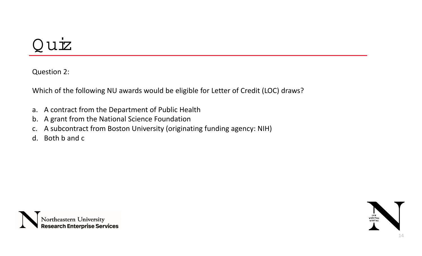### Q uiz

Question 2:

Which of the following NU awards would be eligible for Letter of Credit (LOC) draws?

- a. A contract from the Department of Public Health
- b. A grant from the National Science Foundation
- c. A subcontract from Boston University (originating funding agency: NIH)
- d. Both b and <sup>c</sup>



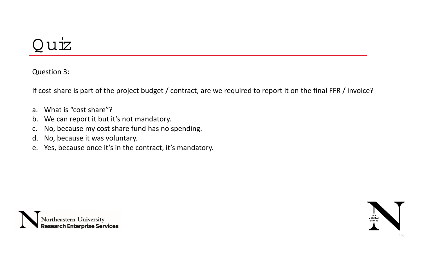### $UZ$

Question 3:

If cost‐share is part of the project budget / contract, are we required to report it on the final FFR / invoice?

- a. What is "cost share"?
- b. We can report it but it's not mandatory.
- c. No, because my cost share fund has no spending.
- d. No, because it was voluntary.
- e. Yes, because once it's in the contract, it's mandatory.



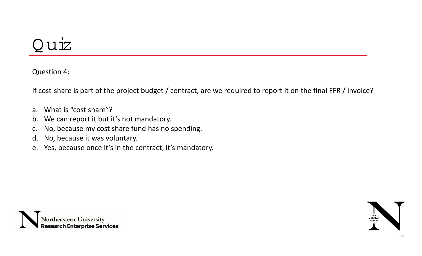### Q uiz

Question 4:

If cost‐share is part of the project budget / contract, are we required to report it on the final FFR / invoice?

- a. What is "cost share"?
- b. We can report it but it's not mandatory.
- c. No, because my cost share fund has no spending.
- d. No, because it was voluntary.
- e. Yes, because once it's in the contract, it's mandatory.